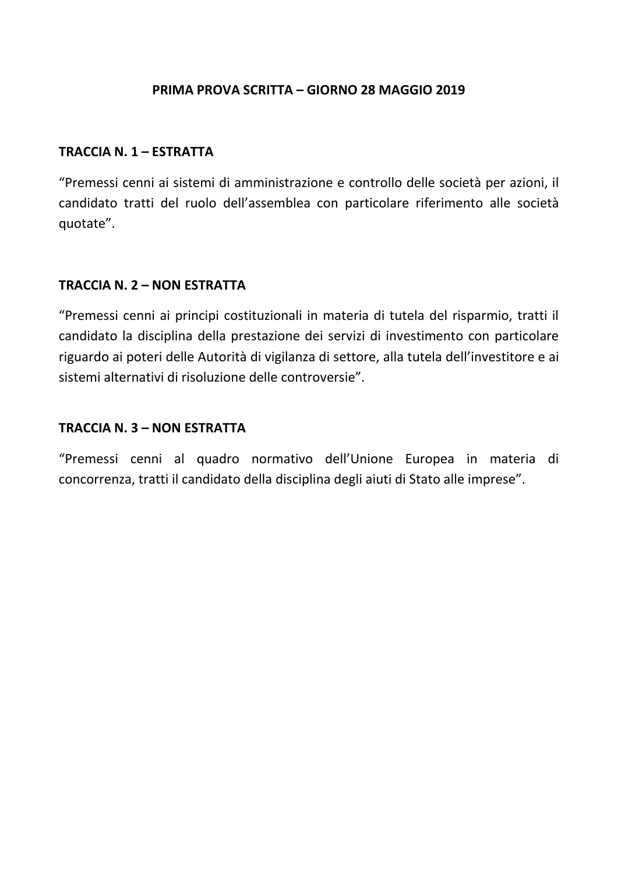## PRIMA PROVA SCRITTA – GIORNO 28 MAGGIO 2019

#### TRACCIA N. 1 – ESTRATTA

"Premessi cenni ai sistemi di amministrazione e controllo delle società per azioni, il candidato tratti del ruolo dell'assemblea con particolare riferimento alle società quotate".

### TRACCIA N. 2 – NON ESTRATTA

"Premessi cenni ai principi costituzionali in materia di tutela del risparmio, tratti il candidato la disciplina della prestazione dei servizi di investimento con particolare riguardo ai poteri delle Autorità di vigilanza di settore, alla tutela dell'investitore e ai sistemi alternativi di risoluzione delle controversie".

### TRACCIA N. 3 – NON ESTRATTA

"Premessi cenni al quadro normativo dell'Unione Europea in materia di concorrenza, tratti il candidato della disciplina degli aiuti di Stato alle imprese".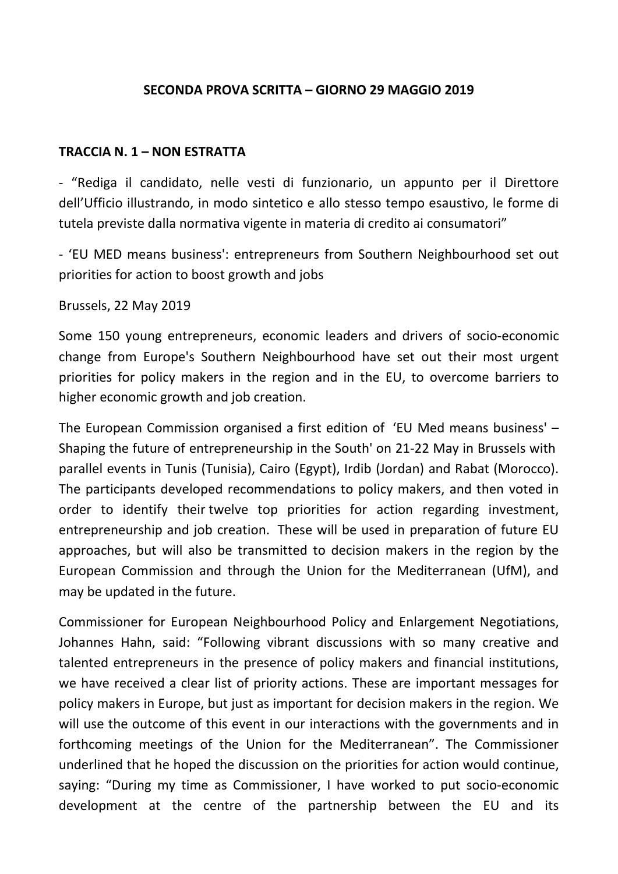## SECONDA PROVA SCRITTA – GIORNO 29 MAGGIO 2019

## TRACCIA N. 1 – NON ESTRATTA

- "Rediga il candidato, nelle vesti di funzionario, un appunto per il Direttore dell'Ufficio illustrando, in modo sintetico e allo stesso tempo esaustivo, le forme di tutela previste dalla normativa vigente in materia di credito ai consumatori"

- 'EU MED means business': entrepreneurs from Southern Neighbourhood set out priorities for action to boost growth and jobs

Brussels, 22 May 2019

Some 150 young entrepreneurs, economic leaders and drivers of socio-economic change from Europe's Southern Neighbourhood have set out their most urgent priorities for policy makers in the region and in the EU, to overcome barriers to higher economic growth and job creation.

The European Commission organised a first edition of 'EU Med means business' – Shaping the future of entrepreneurship in the South' on 21-22 May in Brussels with parallel events in Tunis (Tunisia), Cairo (Egypt), Irdib (Jordan) and Rabat (Morocco). The participants developed recommendations to policy makers, and then voted in order to identify their twelve top priorities for action regarding investment, entrepreneurship and job creation. These will be used in preparation of future EU approaches, but will also be transmitted to decision makers in the region by the European Commission and through the Union for the Mediterranean (UfM), and may be updated in the future.

Commissioner for European Neighbourhood Policy and Enlargement Negotiations, Johannes Hahn, said: "Following vibrant discussions with so many creative and talented entrepreneurs in the presence of policy makers and financial institutions, we have received a clear list of priority actions. These are important messages for policy makers in Europe, but just as important for decision makers in the region. We will use the outcome of this event in our interactions with the governments and in forthcoming meetings of the Union for the Mediterranean". The Commissioner underlined that he hoped the discussion on the priorities for action would continue, saying: "During my time as Commissioner, I have worked to put socio-economic development at the centre of the partnership between the EU and its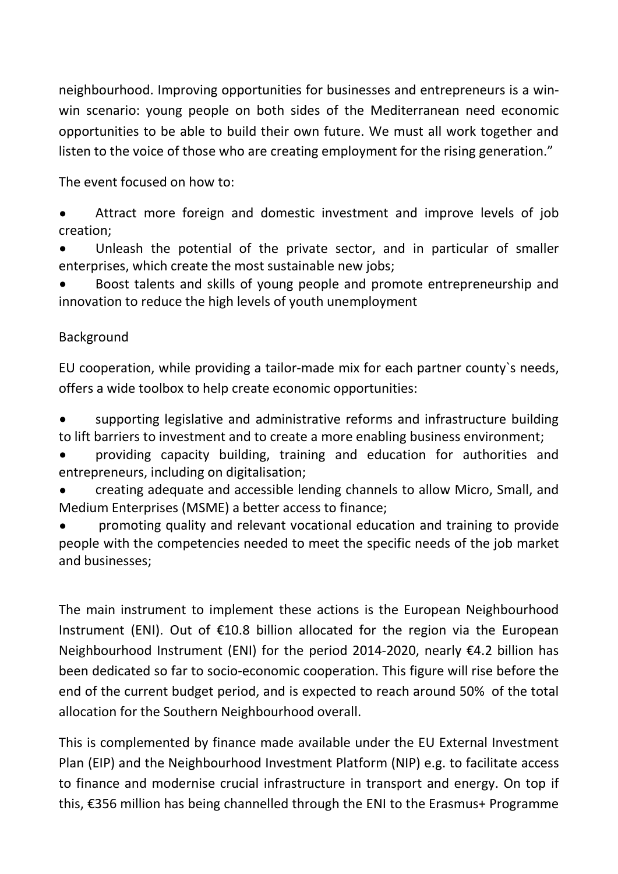neighbourhood. Improving opportunities for businesses and entrepreneurs is a winwin scenario: young people on both sides of the Mediterranean need economic opportunities to be able to build their own future. We must all work together and listen to the voice of those who are creating employment for the rising generation."

The event focused on how to:

• Attract more foreign and domestic investment and improve levels of job creation;

Unleash the potential of the private sector, and in particular of smaller enterprises, which create the most sustainable new jobs;

• Boost talents and skills of young people and promote entrepreneurship and innovation to reduce the high levels of youth unemployment

# Background

EU cooperation, while providing a tailor-made mix for each partner county`s needs, offers a wide toolbox to help create economic opportunities:

• supporting legislative and administrative reforms and infrastructure building to lift barriers to investment and to create a more enabling business environment;

• providing capacity building, training and education for authorities and entrepreneurs, including on digitalisation;

• creating adequate and accessible lending channels to allow Micro, Small, and Medium Enterprises (MSME) a better access to finance;

• promoting quality and relevant vocational education and training to provide people with the competencies needed to meet the specific needs of the job market and businesses;

The main instrument to implement these actions is the European Neighbourhood Instrument (ENI). Out of €10.8 billion allocated for the region via the European Neighbourhood Instrument (ENI) for the period 2014-2020, nearly €4.2 billion has been dedicated so far to socio-economic cooperation. This figure will rise before the end of the current budget period, and is expected to reach around 50% of the total allocation for the Southern Neighbourhood overall.

This is complemented by finance made available under the EU External Investment Plan (EIP) and the Neighbourhood Investment Platform (NIP) e.g. to facilitate access to finance and modernise crucial infrastructure in transport and energy. On top if this, €356 million has being channelled through the ENI to the Erasmus+ Programme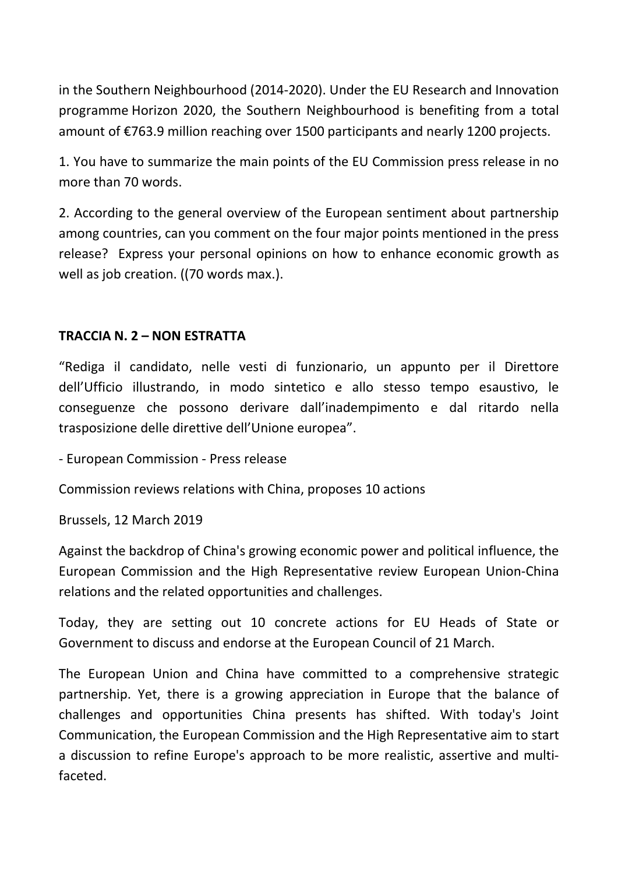in the Southern Neighbourhood (2014-2020). Under the EU Research and Innovation programme Horizon 2020, the Southern Neighbourhood is benefiting from a total amount of €763.9 million reaching over 1500 participants and nearly 1200 projects.

1. You have to summarize the main points of the EU Commission press release in no more than 70 words.

2. According to the general overview of the European sentiment about partnership among countries, can you comment on the four major points mentioned in the press release? Express your personal opinions on how to enhance economic growth as well as job creation. ((70 words max.).

## TRACCIA N. 2 – NON ESTRATTA

"Rediga il candidato, nelle vesti di funzionario, un appunto per il Direttore dell'Ufficio illustrando, in modo sintetico e allo stesso tempo esaustivo, le conseguenze che possono derivare dall'inadempimento e dal ritardo nella trasposizione delle direttive dell'Unione europea".

- European Commission - Press release

Commission reviews relations with China, proposes 10 actions

Brussels, 12 March 2019

Against the backdrop of China's growing economic power and political influence, the European Commission and the High Representative review European Union-China relations and the related opportunities and challenges.

Today, they are setting out 10 concrete actions for EU Heads of State or Government to discuss and endorse at the European Council of 21 March.

The European Union and China have committed to a comprehensive strategic partnership. Yet, there is a growing appreciation in Europe that the balance of challenges and opportunities China presents has shifted. With today's Joint Communication, the European Commission and the High Representative aim to start a discussion to refine Europe's approach to be more realistic, assertive and multifaceted.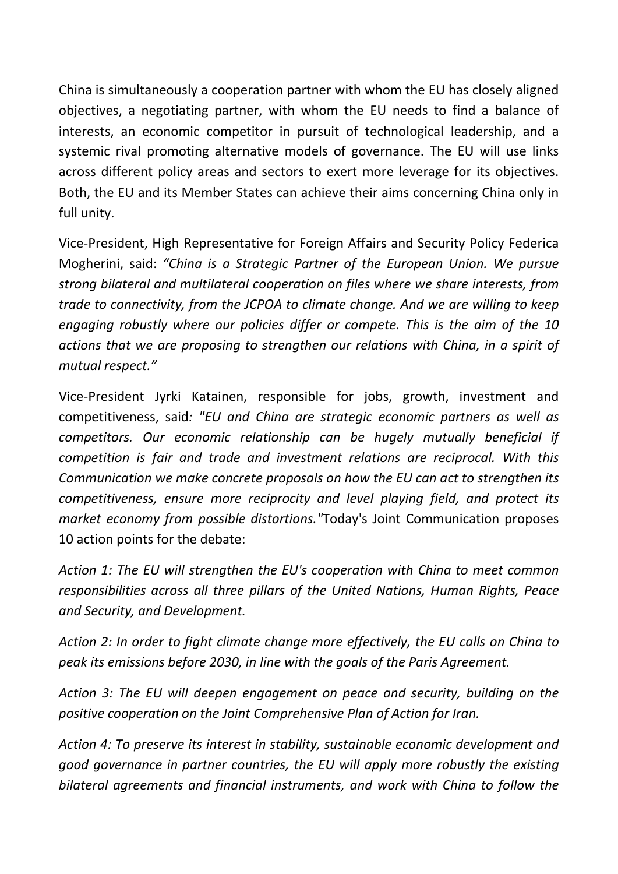China is simultaneously a cooperation partner with whom the EU has closely aligned objectives, a negotiating partner, with whom the EU needs to find a balance of interests, an economic competitor in pursuit of technological leadership, and a systemic rival promoting alternative models of governance. The EU will use links across different policy areas and sectors to exert more leverage for its objectives. Both, the EU and its Member States can achieve their aims concerning China only in full unity.

Vice-President, High Representative for Foreign Affairs and Security Policy Federica Mogherini, said: "China is a Strategic Partner of the European Union. We pursue strong bilateral and multilateral cooperation on files where we share interests, from trade to connectivity, from the JCPOA to climate change. And we are willing to keep engaging robustly where our policies differ or compete. This is the aim of the 10 actions that we are proposing to strengthen our relations with China, in a spirit of mutual respect."

Vice-President Jyrki Katainen, responsible for jobs, growth, investment and competitiveness, said: "EU and China are strategic economic partners as well as competitors. Our economic relationship can be hugely mutually beneficial if competition is fair and trade and investment relations are reciprocal. With this Communication we make concrete proposals on how the EU can act to strengthen its competitiveness, ensure more reciprocity and level playing field, and protect its market economy from possible distortions."Today's Joint Communication proposes 10 action points for the debate:

Action 1: The EU will strengthen the EU's cooperation with China to meet common responsibilities across all three pillars of the United Nations, Human Rights, Peace and Security, and Development.

Action 2: In order to fight climate change more effectively, the EU calls on China to peak its emissions before 2030, in line with the goals of the Paris Agreement.

Action 3: The EU will deepen engagement on peace and security, building on the positive cooperation on the Joint Comprehensive Plan of Action for Iran.

Action 4: To preserve its interest in stability, sustainable economic development and good governance in partner countries, the EU will apply more robustly the existing bilateral agreements and financial instruments, and work with China to follow the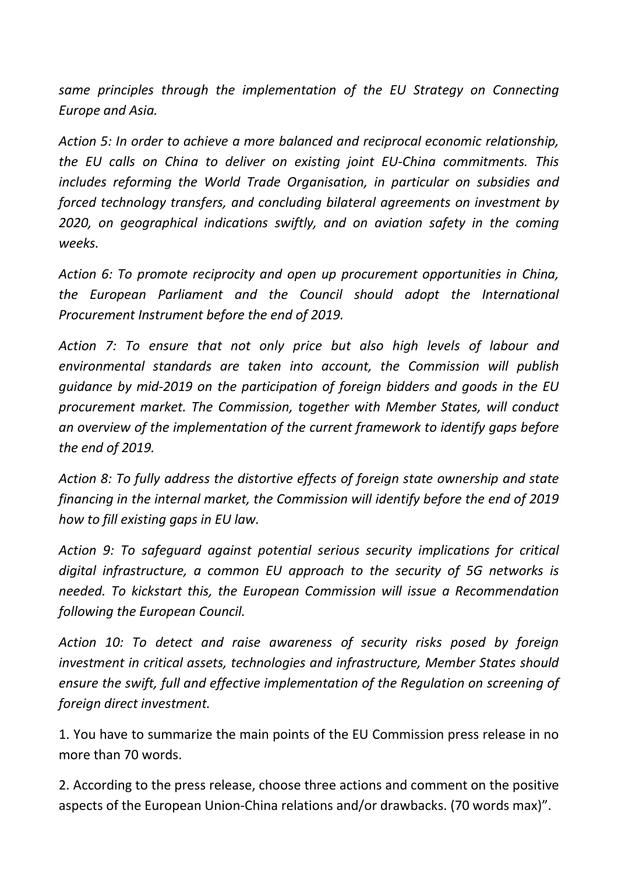same principles through the implementation of the EU Strategy on Connecting Europe and Asia.

Action 5: In order to achieve a more balanced and reciprocal economic relationship, the EU calls on China to deliver on existing joint EU-China commitments. This includes reforming the World Trade Organisation, in particular on subsidies and forced technology transfers, and concluding bilateral agreements on investment by 2020, on geographical indications swiftly, and on aviation safety in the coming weeks.

Action 6: To promote reciprocity and open up procurement opportunities in China, the European Parliament and the Council should adopt the International Procurement Instrument before the end of 2019.

Action 7: To ensure that not only price but also high levels of labour and environmental standards are taken into account, the Commission will publish guidance by mid-2019 on the participation of foreign bidders and goods in the EU procurement market. The Commission, together with Member States, will conduct an overview of the implementation of the current framework to identify gaps before the end of 2019.

Action 8: To fully address the distortive effects of foreign state ownership and state financing in the internal market, the Commission will identify before the end of 2019 how to fill existing gaps in EU law.

Action 9: To safeguard against potential serious security implications for critical digital infrastructure, a common EU approach to the security of 5G networks is needed. To kickstart this, the European Commission will issue a Recommendation following the European Council.

Action 10: To detect and raise awareness of security risks posed by foreign investment in critical assets, technologies and infrastructure, Member States should ensure the swift, full and effective implementation of the Regulation on screening of foreign direct investment.

1. You have to summarize the main points of the EU Commission press release in no more than 70 words.

2. According to the press release, choose three actions and comment on the positive aspects of the European Union-China relations and/or drawbacks. (70 words max)".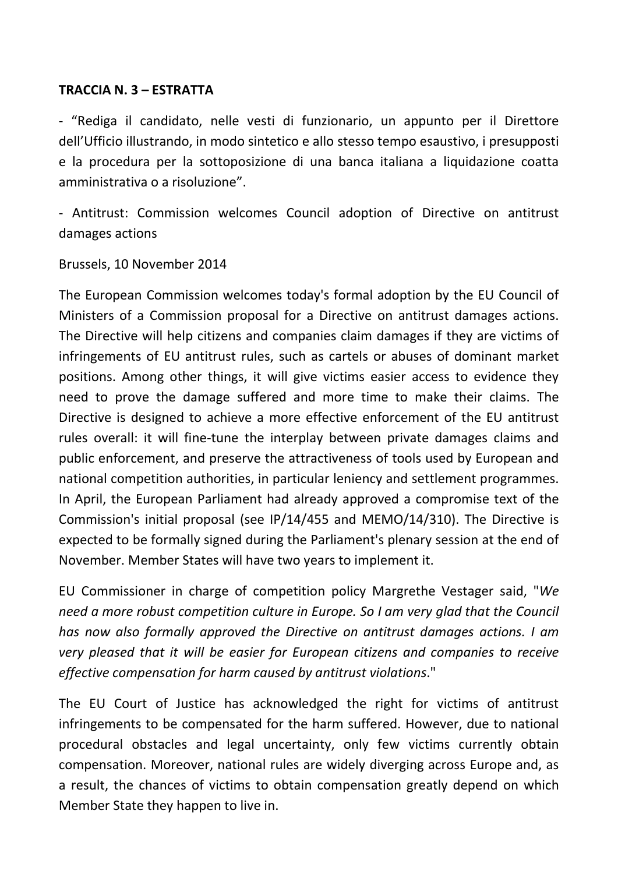### TRACCIA N. 3 – ESTRATTA

- "Rediga il candidato, nelle vesti di funzionario, un appunto per il Direttore dell'Ufficio illustrando, in modo sintetico e allo stesso tempo esaustivo, i presupposti e la procedura per la sottoposizione di una banca italiana a liquidazione coatta amministrativa o a risoluzione".

- Antitrust: Commission welcomes Council adoption of Directive on antitrust damages actions

Brussels, 10 November 2014

The European Commission welcomes today's formal adoption by the EU Council of Ministers of a Commission proposal for a Directive on antitrust damages actions. The Directive will help citizens and companies claim damages if they are victims of infringements of EU antitrust rules, such as cartels or abuses of dominant market positions. Among other things, it will give victims easier access to evidence they need to prove the damage suffered and more time to make their claims. The Directive is designed to achieve a more effective enforcement of the EU antitrust rules overall: it will fine-tune the interplay between private damages claims and public enforcement, and preserve the attractiveness of tools used by European and national competition authorities, in particular leniency and settlement programmes. In April, the European Parliament had already approved a compromise text of the Commission's initial proposal (see IP/14/455 and MEMO/14/310). The Directive is expected to be formally signed during the Parliament's plenary session at the end of November. Member States will have two years to implement it.

EU Commissioner in charge of competition policy Margrethe Vestager said, "We need a more robust competition culture in Europe. So I am very glad that the Council has now also formally approved the Directive on antitrust damages actions. I am very pleased that it will be easier for European citizens and companies to receive effective compensation for harm caused by antitrust violations."

The EU Court of Justice has acknowledged the right for victims of antitrust infringements to be compensated for the harm suffered. However, due to national procedural obstacles and legal uncertainty, only few victims currently obtain compensation. Moreover, national rules are widely diverging across Europe and, as a result, the chances of victims to obtain compensation greatly depend on which Member State they happen to live in.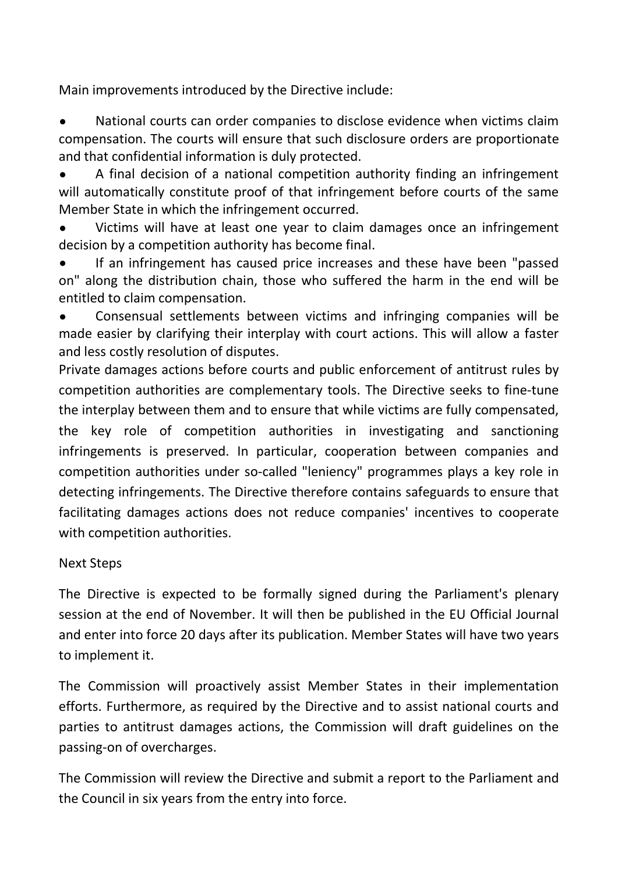Main improvements introduced by the Directive include:

• National courts can order companies to disclose evidence when victims claim compensation. The courts will ensure that such disclosure orders are proportionate and that confidential information is duly protected.

• A final decision of a national competition authority finding an infringement will automatically constitute proof of that infringement before courts of the same Member State in which the infringement occurred.

Victims will have at least one year to claim damages once an infringement decision by a competition authority has become final.

If an infringement has caused price increases and these have been "passed on" along the distribution chain, those who suffered the harm in the end will be entitled to claim compensation.

• Consensual settlements between victims and infringing companies will be made easier by clarifying their interplay with court actions. This will allow a faster and less costly resolution of disputes.

Private damages actions before courts and public enforcement of antitrust rules by competition authorities are complementary tools. The Directive seeks to fine-tune the interplay between them and to ensure that while victims are fully compensated, the key role of competition authorities in investigating and sanctioning infringements is preserved. In particular, cooperation between companies and competition authorities under so-called "leniency" programmes plays a key role in detecting infringements. The Directive therefore contains safeguards to ensure that facilitating damages actions does not reduce companies' incentives to cooperate with competition authorities.

# Next Steps

The Directive is expected to be formally signed during the Parliament's plenary session at the end of November. It will then be published in the EU Official Journal and enter into force 20 days after its publication. Member States will have two years to implement it.

The Commission will proactively assist Member States in their implementation efforts. Furthermore, as required by the Directive and to assist national courts and parties to antitrust damages actions, the Commission will draft guidelines on the passing-on of overcharges.

The Commission will review the Directive and submit a report to the Parliament and the Council in six years from the entry into force.